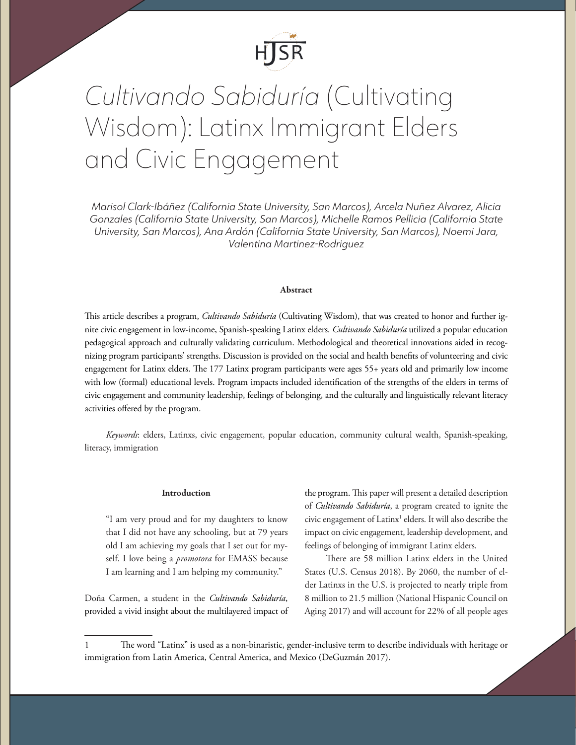

# *Cultivando Sabiduría* (Cultivating Wisdom): Latinx Immigrant Elders and Civic Engagement

*Marisol Clark-Ibáñez (California State University, San Marcos), Arcela Nuñez Alvarez, Alicia Gonzales (California State University, San Marcos), Michelle Ramos Pellicia (California State University, San Marcos), Ana Ardón (California State University, San Marcos), Noemi Jara, Valentina Martinez-Rodriguez*

# Abstract

This article describes a program, *Cultivando Sabiduría* (Cultivating Wisdom), that was created to honor and further ignite civic engagement in low-income, Spanish-speaking Latinx elders. *Cultivando Sabiduría* utilized a popular education pedagogical approach and culturally validating curriculum. Methodological and theoretical innovations aided in recognizing program participants' strengths. Discussion is provided on the social and health benefits of volunteering and civic engagement for Latinx elders. The 177 Latinx program participants were ages 55+ years old and primarily low income with low (formal) educational levels. Program impacts included identification of the strengths of the elders in terms of civic engagement and community leadership, feelings of belonging, and the culturally and linguistically relevant literacy activities offered by the program.

*Keywords*: elders, Latinxs, civic engagement, popular education, community cultural wealth, Spanish-speaking, literacy, immigration

## Introduction

"I am very proud and for my daughters to know that I did not have any schooling, but at 79 years old I am achieving my goals that I set out for myself. I love being a *promotora* for EMASS because I am learning and I am helping my community."

Doña Carmen, a student in the *Cultivando Sabiduría*, provided a vivid insight about the multilayered impact of the program. This paper will present a detailed description of *Cultivando Sabiduría*, a program created to ignite the civic engagement of Latinx<sup>1</sup> elders. It will also describe the impact on civic engagement, leadership development, and feelings of belonging of immigrant Latinx elders.

There are 58 million Latinx elders in the United States (U.S. Census 2018). By 2060, the number of elder Latinxs in the U.S. is projected to nearly triple from 8 million to 21.5 million (National Hispanic Council on Aging 2017) and will account for 22% of all people ages

<sup>1</sup> The word "Latinx" is used as a non-binaristic, gender-inclusive term to describe individuals with heritage or immigration from Latin America, Central America, and Mexico (DeGuzmán 2017).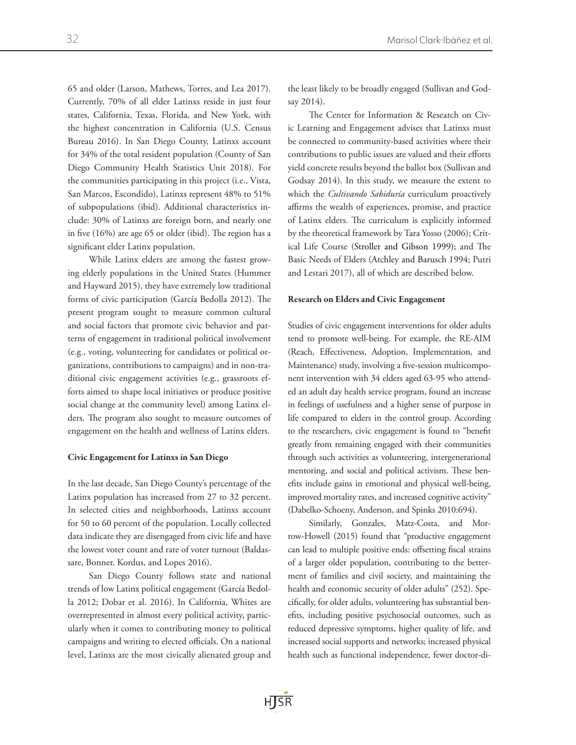65 and older (Larson, Mathews, Torres, and Lea 2017). Currently, 70% of all elder Latinxs reside in just four states, California, Texas, Florida, and New York, with the highest concentration in California (U.S. Census Bureau 2016). In San Diego County, Latinxs account for 34% of the total resident population (County of San Diego Community Health Statistics Unit 2018). For the communities participating in this project (i.e., Vista, San Marcos, Escondido), Latinxs represent 48% to 51% of subpopulations (ibid). Additional characteristics include: 30% of Latinxs are foreign born, and nearly one in five (16%) are age 65 or older (ibid). The region has a significant elder Latinx population.

While Latinx elders are among the fastest growing elderly populations in the United States (Hummer and Hayward 2015), they have extremely low traditional forms of civic participation (García Bedolla 2012). The present program sought to measure common cultural and social factors that promote civic behavior and patterns of engagement in traditional political involvement (e.g., voting, volunteering for candidates or political organizations, contributions to campaigns) and in non-traditional civic engagement activities (e.g., grassroots efforts aimed to shape local initiatives or produce positive social change at the community level) among Latinx elders. The program also sought to measure outcomes of engagement on the health and wellness of Latinx elders.

# Civic Engagement for Latinxs in San Diego

In the last decade, San Diego County's percentage of the Latinx population has increased from 27 to 32 percent. In selected cities and neighborhoods, Latinxs account for 50 to 60 percent of the population. Locally collected data indicate they are disengaged from civic life and have the lowest voter count and rate of voter turnout (Baldassare, Bonner, Kordus, and Lopes 2016).

San Diego County follows state and national trends of low Latinx political engagement (García Bedolla 2012; Dobar et al. 2016). In California, Whites are overrepresented in almost every political activity, particularly when it comes to contributing money to political campaigns and writing to elected officials. On a national level, Latinxs are the most civically alienated group and

the least likely to be broadly engaged (Sullivan and Godsay 2014).

The Center for Information & Research on Civic Learning and Engagement advises that Latinxs must be connected to community-based activities where their contributions to public issues are valued and their efforts yield concrete results beyond the ballot box (Sullivan and Godsay 2014). In this study, we measure the extent to which the *Cultivando Sabiduría* curriculum proactively affirms the wealth of experiences, promise, and practice of Latinx elders. The curriculum is explicitly informed by the theoretical framework by Tara Yosso (2006); Critical Life Course (Stroller and Gibson 1999); and The Basic Needs of Elders (Atchley and Barusch 1994; Putri and Lestari 2017), all of which are described below.

# Research on Elders and Civic Engagement

Studies of civic engagement interventions for older adults tend to promote well-being. For example, the RE-AIM (Reach, Effectiveness, Adoption, Implementation, and Maintenance) study, involving a five-session multicomponent intervention with 34 elders aged 63-95 who attended an adult day health service program, found an increase in feelings of usefulness and a higher sense of purpose in life compared to elders in the control group. According to the researchers, civic engagement is found to "benefit greatly from remaining engaged with their communities through such activities as volunteering, intergenerational mentoring, and social and political activism. These benefits include gains in emotional and physical well-being, improved mortality rates, and increased cognitive activity" (Dabelko-Schoeny, Anderson, and Spinks 2010:694).

Similarly, Gonzales, Matz-Costa, and Morrow-Howell (2015) found that "productive engagement can lead to multiple positive ends: offsetting fiscal strains of a larger older population, contributing to the betterment of families and civil society, and maintaining the health and economic security of older adults" (252). Specifically, for older adults, volunteering has substantial benefits, including positive psychosocial outcomes, such as reduced depressive symptoms, higher quality of life, and increased social supports and networks; increased physical health such as functional independence, fewer doctor-di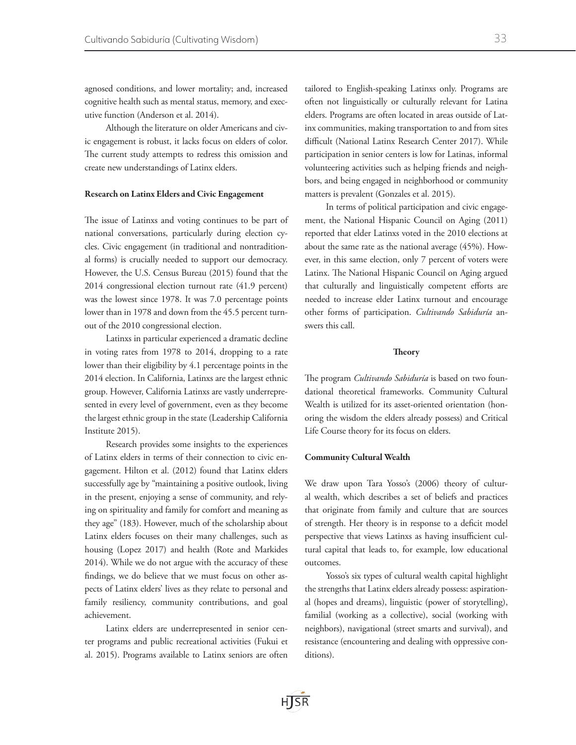agnosed conditions, and lower mortality; and, increased cognitive health such as mental status, memory, and executive function (Anderson et al. 2014).

Although the literature on older Americans and civic engagement is robust, it lacks focus on elders of color. The current study attempts to redress this omission and create new understandings of Latinx elders.

#### Research on Latinx Elders and Civic Engagement

The issue of Latinxs and voting continues to be part of national conversations, particularly during election cycles. Civic engagement (in traditional and nontraditional forms) is crucially needed to support our democracy. However, the U.S. Census Bureau (2015) found that the 2014 congressional election turnout rate (41.9 percent) was the lowest since 1978. It was 7.0 percentage points lower than in 1978 and down from the 45.5 percent turnout of the 2010 congressional election.

Latinxs in particular experienced a dramatic decline in voting rates from 1978 to 2014, dropping to a rate lower than their eligibility by 4.1 percentage points in the 2014 election. In California, Latinxs are the largest ethnic group. However, California Latinxs are vastly underrepresented in every level of government, even as they become the largest ethnic group in the state (Leadership California Institute 2015).

Research provides some insights to the experiences of Latinx elders in terms of their connection to civic engagement. Hilton et al. (2012) found that Latinx elders successfully age by "maintaining a positive outlook, living in the present, enjoying a sense of community, and relying on spirituality and family for comfort and meaning as they age" (183). However, much of the scholarship about Latinx elders focuses on their many challenges, such as housing (Lopez 2017) and health (Rote and Markides 2014). While we do not argue with the accuracy of these findings, we do believe that we must focus on other aspects of Latinx elders' lives as they relate to personal and family resiliency, community contributions, and goal achievement.

Latinx elders are underrepresented in senior center programs and public recreational activities (Fukui et al. 2015). Programs available to Latinx seniors are often tailored to English-speaking Latinxs only. Programs are often not linguistically or culturally relevant for Latina elders. Programs are often located in areas outside of Latinx communities, making transportation to and from sites difficult (National Latinx Research Center 2017). While participation in senior centers is low for Latinas, informal volunteering activities such as helping friends and neighbors, and being engaged in neighborhood or community matters is prevalent (Gonzales et al. 2015).

In terms of political participation and civic engagement, the National Hispanic Council on Aging (2011) reported that elder Latinxs voted in the 2010 elections at about the same rate as the national average (45%). However, in this same election, only 7 percent of voters were Latinx. The National Hispanic Council on Aging argued that culturally and linguistically competent efforts are needed to increase elder Latinx turnout and encourage other forms of participation. *Cultivando Sabiduría* answers this call.

# **Theory**

The program *Cultivando Sabiduría* is based on two foundational theoretical frameworks. Community Cultural Wealth is utilized for its asset-oriented orientation (honoring the wisdom the elders already possess) and Critical Life Course theory for its focus on elders.

#### Community Cultural Wealth

We draw upon Tara Yosso's (2006) theory of cultural wealth, which describes a set of beliefs and practices that originate from family and culture that are sources of strength. Her theory is in response to a deficit model perspective that views Latinxs as having insufficient cultural capital that leads to, for example, low educational outcomes.

Yosso's six types of cultural wealth capital highlight the strengths that Latinx elders already possess: aspirational (hopes and dreams), linguistic (power of storytelling), familial (working as a collective), social (working with neighbors), navigational (street smarts and survival), and resistance (encountering and dealing with oppressive conditions).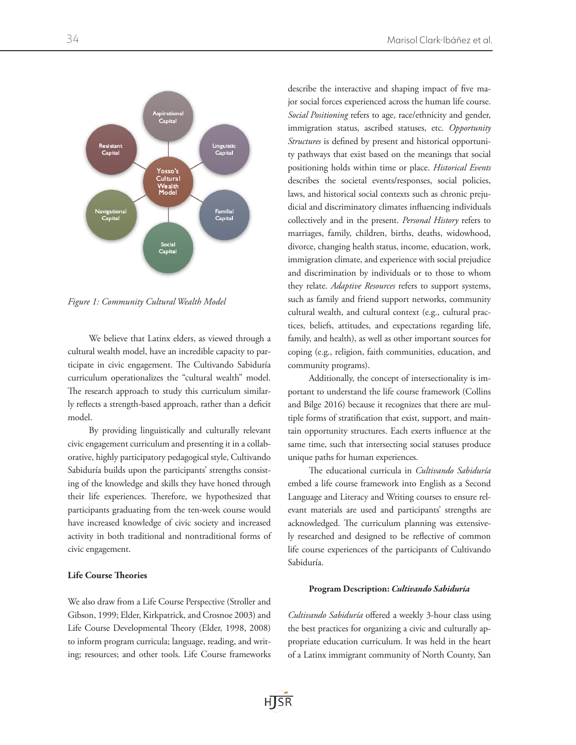

*Figure 1: Community Cultural Wealth Model*

We believe that Latinx elders, as viewed through a cultural wealth model, have an incredible capacity to participate in civic engagement. The Cultivando Sabiduría curriculum operationalizes the "cultural wealth" model. The research approach to study this curriculum similarly reflects a strength-based approach, rather than a deficit model.

By providing linguistically and culturally relevant civic engagement curriculum and presenting it in a collaborative, highly participatory pedagogical style, Cultivando Sabiduría builds upon the participants' strengths consisting of the knowledge and skills they have honed through their life experiences. Therefore, we hypothesized that participants graduating from the ten-week course would have increased knowledge of civic society and increased activity in both traditional and nontraditional forms of civic engagement.

# **Life Course Theories**

We also draw from a Life Course Perspective (Stroller and Gibson, 1999; Elder, Kirkpatrick, and Crosnoe 2003) and Life Course Developmental Theory (Elder, 1998, 2008) to inform program curricula; language, reading, and writing; resources; and other tools. Life Course frameworks describe the interactive and shaping impact of five major social forces experienced across the human life course. *Social Positioning* refers to age, race/ethnicity and gender, immigration status, ascribed statuses, etc. *Opportunity Structures* is defined by present and historical opportunity pathways that exist based on the meanings that social positioning holds within time or place. *Historical Events* describes the societal events/responses, social policies, laws, and historical social contexts such as chronic prejudicial and discriminatory climates influencing individuals collectively and in the present. *Personal History* refers to marriages, family, children, births, deaths, widowhood, divorce, changing health status, income, education, work, immigration climate, and experience with social prejudice and discrimination by individuals or to those to whom they relate. *Adaptive Resources* refers to support systems, such as family and friend support networks, community cultural wealth, and cultural context (e.g., cultural practices, beliefs, attitudes, and expectations regarding life, family, and health), as well as other important sources for coping (e.g., religion, faith communities, education, and community programs).

Additionally, the concept of intersectionality is important to understand the life course framework (Collins and Bilge 2016) because it recognizes that there are multiple forms of stratification that exist, support, and maintain opportunity structures. Each exerts influence at the same time, such that intersecting social statuses produce unique paths for human experiences.

The educational curricula in *Cultivando Sabiduría* embed a life course framework into English as a Second Language and Literacy and Writing courses to ensure relevant materials are used and participants' strengths are acknowledged. The curriculum planning was extensively researched and designed to be reflective of common life course experiences of the participants of Cultivando Sabiduría.

#### Program Description: *Cultivando Sabiduría*

*Cultivando Sabiduría* offered a weekly 3-hour class using the best practices for organizing a civic and culturally appropriate education curriculum. It was held in the heart of a Latinx immigrant community of North County, San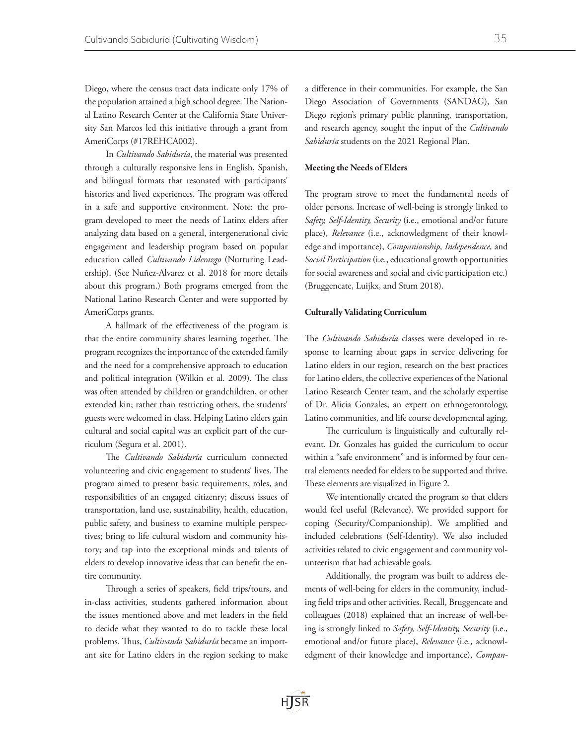Diego, where the census tract data indicate only 17% of the population attained a high school degree. The National Latino Research Center at the California State University San Marcos led this initiative through a grant from AmeriCorps (#17REHCA002).

In *Cultivando Sabiduría*, the material was presented through a culturally responsive lens in English, Spanish, and bilingual formats that resonated with participants' histories and lived experiences. The program was offered in a safe and supportive environment. Note: the program developed to meet the needs of Latinx elders after analyzing data based on a general, intergenerational civic engagement and leadership program based on popular education called *Cultivando Liderazgo* (Nurturing Leadership). (See Nuñez-Alvarez et al. 2018 for more details about this program.) Both programs emerged from the National Latino Research Center and were supported by AmeriCorps grants.

A hallmark of the effectiveness of the program is that the entire community shares learning together. The program recognizes the importance of the extended family and the need for a comprehensive approach to education and political integration (Wilkin et al. 2009). The class was often attended by children or grandchildren, or other extended kin; rather than restricting others, the students' guests were welcomed in class. Helping Latino elders gain cultural and social capital was an explicit part of the curriculum (Segura et al. 2001).

The *Cultivando Sabiduría* curriculum connected volunteering and civic engagement to students' lives. The program aimed to present basic requirements, roles, and responsibilities of an engaged citizenry; discuss issues of transportation, land use, sustainability, health, education, public safety, and business to examine multiple perspectives; bring to life cultural wisdom and community history; and tap into the exceptional minds and talents of elders to develop innovative ideas that can benefit the entire community.

Through a series of speakers, field trips/tours, and in-class activities, students gathered information about the issues mentioned above and met leaders in the field to decide what they wanted to do to tackle these local problems. Thus, *Cultivando Sabiduría* became an important site for Latino elders in the region seeking to make

a difference in their communities. For example, the San Diego Association of Governments (SANDAG), San Diego region's primary public planning, transportation, and research agency, sought the input of the *Cultivando Sabiduría* students on the 2021 Regional Plan.

#### Meeting the Needs of Elders

The program strove to meet the fundamental needs of older persons. Increase of well-being is strongly linked to *Safety, Self-Identity, Security* (i.e., emotional and/or future place), *Relevance* (i.e., acknowledgment of their knowledge and importance), *Companionship, Independence,* and *Social Participation* (i.e., educational growth opportunities for social awareness and social and civic participation etc.) (Bruggencate, Luijkx, and Stum 2018).

#### Culturally Validating Curriculum

The *Cultivando Sabiduría* classes were developed in response to learning about gaps in service delivering for Latino elders in our region, research on the best practices for Latino elders, the collective experiences of the National Latino Research Center team, and the scholarly expertise of Dr. Alicia Gonzales, an expert on ethnogerontology, Latino communities, and life course developmental aging.

The curriculum is linguistically and culturally relevant. Dr. Gonzales has guided the curriculum to occur within a "safe environment" and is informed by four central elements needed for elders to be supported and thrive. These elements are visualized in Figure 2.

We intentionally created the program so that elders would feel useful (Relevance). We provided support for coping (Security/Companionship). We amplified and included celebrations (Self-Identity). We also included activities related to civic engagement and community volunteerism that had achievable goals.

Additionally, the program was built to address elements of well-being for elders in the community, including field trips and other activities. Recall, Bruggencate and colleagues (2018) explained that an increase of well-being is strongly linked to *Safety, Self-Identity, Security* (i.e., emotional and/or future place), *Relevance* (i.e., acknowledgment of their knowledge and importance), *Compan-*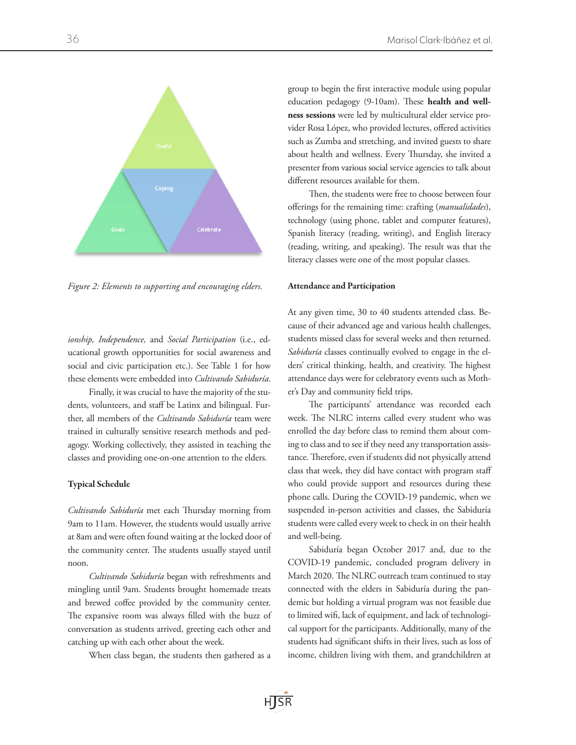

*Figure 2: Elements to supporting and encouraging elders.* 

*ionship, Independence,* and *Social Participation* (i.e., educational growth opportunities for social awareness and social and civic participation etc.). See Table 1 for how these elements were embedded into *Cultivando Sabiduría*.

Finally, it was crucial to have the majority of the students, volunteers, and staff be Latinx and bilingual. Further, all members of the *Cultivando Sabiduría* team were trained in culturally sensitive research methods and pedagogy. Working collectively, they assisted in teaching the classes and providing one-on-one attention to the elders.

#### Typical Schedule

*Cultivando Sabiduría* met each Thursday morning from 9am to 11am. However, the students would usually arrive at 8am and were often found waiting at the locked door of the community center. The students usually stayed until noon.

*Cultivando Sabiduría* began with refreshments and mingling until 9am. Students brought homemade treats and brewed coffee provided by the community center. The expansive room was always filled with the buzz of conversation as students arrived, greeting each other and catching up with each other about the week.

When class began, the students then gathered as a

group to begin the first interactive module using popular education pedagogy (9-10am). These **health and wellness sessions** were led by multicultural elder service provider Rosa López, who provided lectures, offered activities such as Zumba and stretching, and invited guests to share about health and wellness. Every Thursday, she invited a presenter from various social service agencies to talk about different resources available for them.

Then, the students were free to choose between four offerings for the remaining time: crafting (*manualidades*), technology (using phone, tablet and computer features), Spanish literacy (reading, writing), and English literacy (reading, writing, and speaking). The result was that the literacy classes were one of the most popular classes.

#### Attendance and Participation

At any given time, 30 to 40 students attended class. Because of their advanced age and various health challenges, students missed class for several weeks and then returned. *Sabiduría* classes continually evolved to engage in the elders' critical thinking, health, and creativity. The highest attendance days were for celebratory events such as Mother's Day and community field trips.

The participants' attendance was recorded each week. The NLRC interns called every student who was enrolled the day before class to remind them about coming to class and to see if they need any transportation assistance. Therefore, even if students did not physically attend class that week, they did have contact with program staff who could provide support and resources during these phone calls. During the COVID-19 pandemic, when we suspended in-person activities and classes, the Sabiduría students were called every week to check in on their health and well-being.

Sabiduría began October 2017 and, due to the COVID-19 pandemic, concluded program delivery in March 2020. The NLRC outreach team continued to stay connected with the elders in Sabiduría during the pandemic but holding a virtual program was not feasible due to limited wifi, lack of equipment, and lack of technological support for the participants. Additionally, many of the students had significant shifts in their lives, such as loss of income, children living with them, and grandchildren at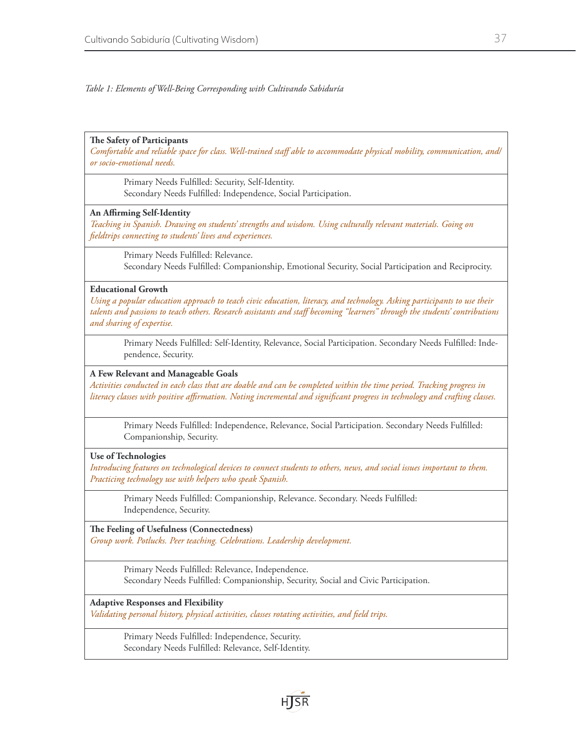*Table 1: Elements of Well-Being Corresponding with Cultivando Sabiduría* 

# **The Safety of Participants**

*Comfortable and reliable space for class. Well-trained staff able to accommodate physical mobility, communication, and/ or socio-emotional needs.* 

Primary Needs Fulfilled: Security, Self-Identity. Secondary Needs Fulfilled: Independence, Social Participation.

# **An Affirming Self-Identity**

*Teaching in Spanish. Drawing on students' strengths and wisdom. Using culturally relevant materials. Going on fieldtrips connecting to students' lives and experiences.* 

Primary Needs Fulfilled: Relevance. Secondary Needs Fulfilled: Companionship, Emotional Security, Social Participation and Reciprocity.

# **Educational Growth**

*Using a popular education approach to teach civic education, literacy, and technology. Asking participants to use their talents and passions to teach others. Research assistants and staff becoming "learners" through the students' contributions and sharing of expertise.* 

Primary Needs Fulfilled: Self-Identity, Relevance, Social Participation. Secondary Needs Fulfilled: Independence, Security.

## **A Few Relevant and Manageable Goals**

*Activities conducted in each class that are doable and can be completed within the time period. Tracking progress in literacy classes with positive affirmation. Noting incremental and significant progress in technology and crafting classes.* 

Primary Needs Fulfilled: Independence, Relevance, Social Participation. Secondary Needs Fulfilled: Companionship, Security.

## **Use of Technologies**

*Introducing features on technological devices to connect students to others, news, and social issues important to them. Practicing technology use with helpers who speak Spanish.* 

Primary Needs Fulfilled: Companionship, Relevance. Secondary. Needs Fulfilled: Independence, Security.

**The Feeling of Usefulness (Connectedness)** *Group work. Potlucks. Peer teaching. Celebrations. Leadership development.* 

> Primary Needs Fulfilled: Relevance, Independence. Secondary Needs Fulfilled: Companionship, Security, Social and Civic Participation.

#### **Adaptive Responses and Flexibility**

*Validating personal history, physical activities, classes rotating activities, and field trips.* 

Primary Needs Fulfilled: Independence, Security. Secondary Needs Fulfilled: Relevance, Self-Identity.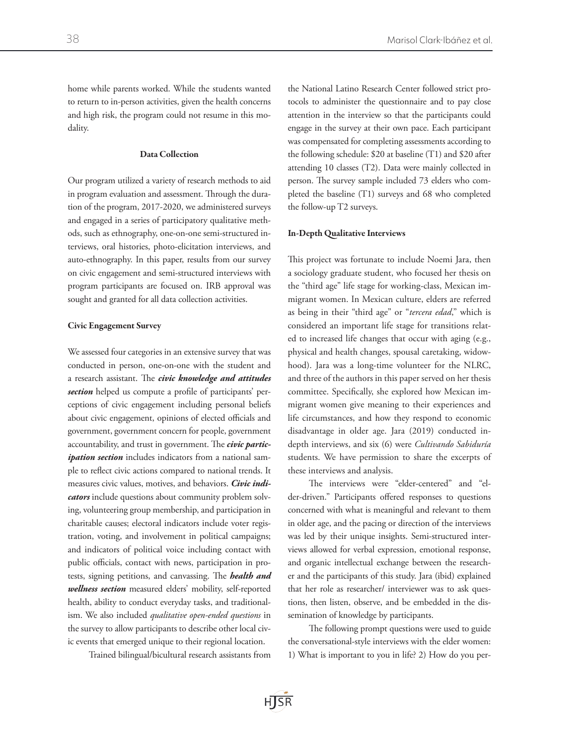home while parents worked. While the students wanted to return to in-person activities, given the health concerns and high risk, the program could not resume in this modality.

# Data Collection

Our program utilized a variety of research methods to aid in program evaluation and assessment. Through the duration of the program, 2017-2020, we administered surveys and engaged in a series of participatory qualitative methods, such as ethnography, one-on-one semi-structured interviews, oral histories, photo-elicitation interviews, and auto-ethnography. In this paper, results from our survey on civic engagement and semi-structured interviews with program participants are focused on. IRB approval was sought and granted for all data collection activities.

# Civic Engagement Survey

We assessed four categories in an extensive survey that was conducted in person, one-on-one with the student and a research assistant. The *civic knowledge and attitudes section* helped us compute a profile of participants' perceptions of civic engagement including personal beliefs about civic engagement, opinions of elected officials and government, government concern for people, government accountability, and trust in government. The *civic participation section* includes indicators from a national sample to reflect civic actions compared to national trends. It measures civic values, motives, and behaviors. *Civic indicators* include questions about community problem solving, volunteering group membership, and participation in charitable causes; electoral indicators include voter registration, voting, and involvement in political campaigns; and indicators of political voice including contact with public officials, contact with news, participation in protests, signing petitions, and canvassing. The *health and wellness section* measured elders' mobility, self-reported health, ability to conduct everyday tasks, and traditionalism. We also included *qualitative open-ended questions* in the survey to allow participants to describe other local civic events that emerged unique to their regional location.

Trained bilingual/bicultural research assistants from

the National Latino Research Center followed strict protocols to administer the questionnaire and to pay close attention in the interview so that the participants could engage in the survey at their own pace. Each participant was compensated for completing assessments according to the following schedule: \$20 at baseline (T1) and \$20 after attending 10 classes (T2). Data were mainly collected in person. The survey sample included 73 elders who completed the baseline (T1) surveys and 68 who completed the follow-up T2 surveys.

## In-Depth Qualitative Interviews

This project was fortunate to include Noemi Jara, then a sociology graduate student, who focused her thesis on the "third age" life stage for working-class, Mexican immigrant women. In Mexican culture, elders are referred as being in their "third age" or "*tercera edad*," which is considered an important life stage for transitions related to increased life changes that occur with aging (e.g., physical and health changes, spousal caretaking, widowhood). Jara was a long-time volunteer for the NLRC, and three of the authors in this paper served on her thesis committee. Specifically, she explored how Mexican immigrant women give meaning to their experiences and life circumstances, and how they respond to economic disadvantage in older age. Jara (2019) conducted indepth interviews, and six (6) were *Cultivando Sabiduría* students. We have permission to share the excerpts of these interviews and analysis.

The interviews were "elder-centered" and "elder-driven." Participants offered responses to questions concerned with what is meaningful and relevant to them in older age, and the pacing or direction of the interviews was led by their unique insights. Semi-structured interviews allowed for verbal expression, emotional response, and organic intellectual exchange between the researcher and the participants of this study. Jara (ibid) explained that her role as researcher/ interviewer was to ask questions, then listen, observe, and be embedded in the dissemination of knowledge by participants.

The following prompt questions were used to guide the conversational-style interviews with the elder women: 1) What is important to you in life? 2) How do you per-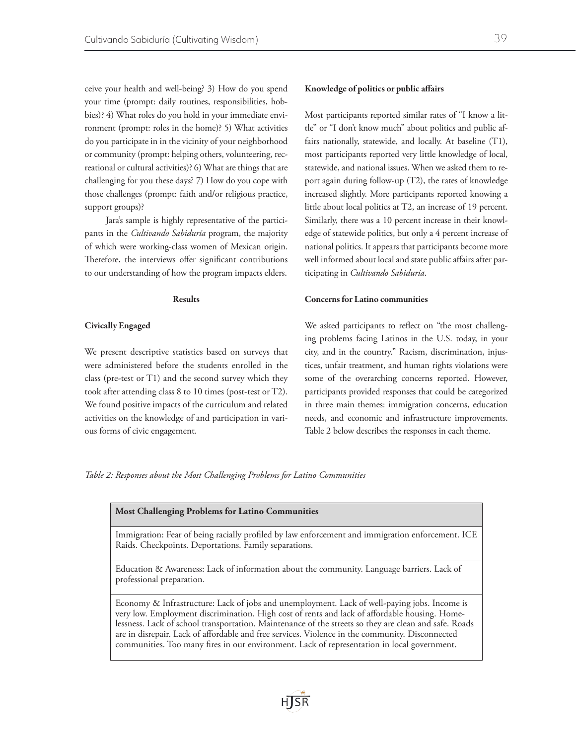ceive your health and well-being? 3) How do you spend your time (prompt: daily routines, responsibilities, hobbies)? 4) What roles do you hold in your immediate environment (prompt: roles in the home)? 5) What activities do you participate in in the vicinity of your neighborhood or community (prompt: helping others, volunteering, recreational or cultural activities)? 6) What are things that are challenging for you these days? 7) How do you cope with those challenges (prompt: faith and/or religious practice, support groups)?

Jara's sample is highly representative of the participants in the *Cultivando Sabiduría* program, the majority of which were working-class women of Mexican origin. Therefore, the interviews offer significant contributions to our understanding of how the program impacts elders.

#### Results

## Civically Engaged

We present descriptive statistics based on surveys that were administered before the students enrolled in the class (pre-test or T1) and the second survey which they took after attending class 8 to 10 times (post-test or T2). We found positive impacts of the curriculum and related activities on the knowledge of and participation in various forms of civic engagement.

#### Knowledge of politics or public affairs

Most participants reported similar rates of "I know a little" or "I don't know much" about politics and public affairs nationally, statewide, and locally. At baseline (T1), most participants reported very little knowledge of local, statewide, and national issues. When we asked them to report again during follow-up (T2), the rates of knowledge increased slightly. More participants reported knowing a little about local politics at T2, an increase of 19 percent. Similarly, there was a 10 percent increase in their knowledge of statewide politics, but only a 4 percent increase of national politics. It appears that participants become more well informed about local and state public affairs after participating in *Cultivando Sabiduría*.

## Concerns for Latino communities

We asked participants to reflect on "the most challenging problems facing Latinos in the U.S. today, in your city, and in the country." Racism, discrimination, injustices, unfair treatment, and human rights violations were some of the overarching concerns reported. However, participants provided responses that could be categorized in three main themes: immigration concerns, education needs, and economic and infrastructure improvements. Table 2 below describes the responses in each theme.

*Table 2: Responses about the Most Challenging Problems for Latino Communities*

| <b>Most Challenging Problems for Latino Communities</b>                                                                                                                                                                                                                                                                                                                                                                                                                                                  |
|----------------------------------------------------------------------------------------------------------------------------------------------------------------------------------------------------------------------------------------------------------------------------------------------------------------------------------------------------------------------------------------------------------------------------------------------------------------------------------------------------------|
| Immigration: Fear of being racially profiled by law enforcement and immigration enforcement. ICE<br>Raids. Checkpoints. Deportations. Family separations.                                                                                                                                                                                                                                                                                                                                                |
| Education & Awareness: Lack of information about the community. Language barriers. Lack of<br>professional preparation.                                                                                                                                                                                                                                                                                                                                                                                  |
| Economy & Infrastructure: Lack of jobs and unemployment. Lack of well-paying jobs. Income is<br>very low. Employment discrimination. High cost of rents and lack of affordable housing. Home-<br>lessness. Lack of school transportation. Maintenance of the streets so they are clean and safe. Roads<br>are in disrepair. Lack of affordable and free services. Violence in the community. Disconnected<br>communities. Too many fires in our environment. Lack of representation in local government. |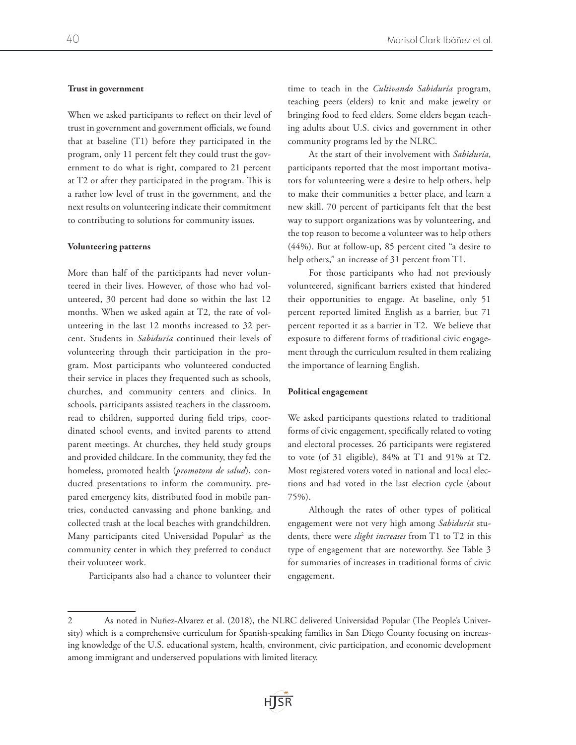#### Trust in government

When we asked participants to reflect on their level of trust in government and government officials, we found that at baseline (T1) before they participated in the program, only 11 percent felt they could trust the government to do what is right, compared to 21 percent at T2 or after they participated in the program. This is a rather low level of trust in the government, and the next results on volunteering indicate their commitment to contributing to solutions for community issues.

## Volunteering patterns

More than half of the participants had never volunteered in their lives. However, of those who had volunteered, 30 percent had done so within the last 12 months. When we asked again at T2, the rate of volunteering in the last 12 months increased to 32 percent. Students in *Sabiduría* continued their levels of volunteering through their participation in the program. Most participants who volunteered conducted their service in places they frequented such as schools, churches, and community centers and clinics. In schools, participants assisted teachers in the classroom, read to children, supported during field trips, coordinated school events, and invited parents to attend parent meetings. At churches, they held study groups and provided childcare. In the community, they fed the homeless, promoted health (*promotora de salud*), conducted presentations to inform the community, prepared emergency kits, distributed food in mobile pantries, conducted canvassing and phone banking, and collected trash at the local beaches with grandchildren. Many participants cited Universidad Popular<sup>2</sup> as the community center in which they preferred to conduct their volunteer work.

Participants also had a chance to volunteer their

time to teach in the *Cultivando Sabiduría* program, teaching peers (elders) to knit and make jewelry or bringing food to feed elders. Some elders began teaching adults about U.S. civics and government in other community programs led by the NLRC.

At the start of their involvement with *Sabiduría*, participants reported that the most important motivators for volunteering were a desire to help others, help to make their communities a better place, and learn a new skill. 70 percent of participants felt that the best way to support organizations was by volunteering, and the top reason to become a volunteer was to help others (44%). But at follow-up, 85 percent cited "a desire to help others," an increase of 31 percent from T1.

For those participants who had not previously volunteered, significant barriers existed that hindered their opportunities to engage. At baseline, only 51 percent reported limited English as a barrier, but 71 percent reported it as a barrier in T2. We believe that exposure to different forms of traditional civic engagement through the curriculum resulted in them realizing the importance of learning English.

#### Political engagement

We asked participants questions related to traditional forms of civic engagement, specifically related to voting and electoral processes. 26 participants were registered to vote (of 31 eligible), 84% at T1 and 91% at T2. Most registered voters voted in national and local elections and had voted in the last election cycle (about 75%).

Although the rates of other types of political engagement were not very high among *Sabiduría* students, there were *slight increases* from T1 to T2 in this type of engagement that are noteworthy. See Table 3 for summaries of increases in traditional forms of civic engagement.

<sup>2</sup> As noted in Nuñez-Alvarez et al. (2018), the NLRC delivered Universidad Popular (The People's University) which is a comprehensive curriculum for Spanish-speaking families in San Diego County focusing on increasing knowledge of the U.S. educational system, health, environment, civic participation, and economic development among immigrant and underserved populations with limited literacy.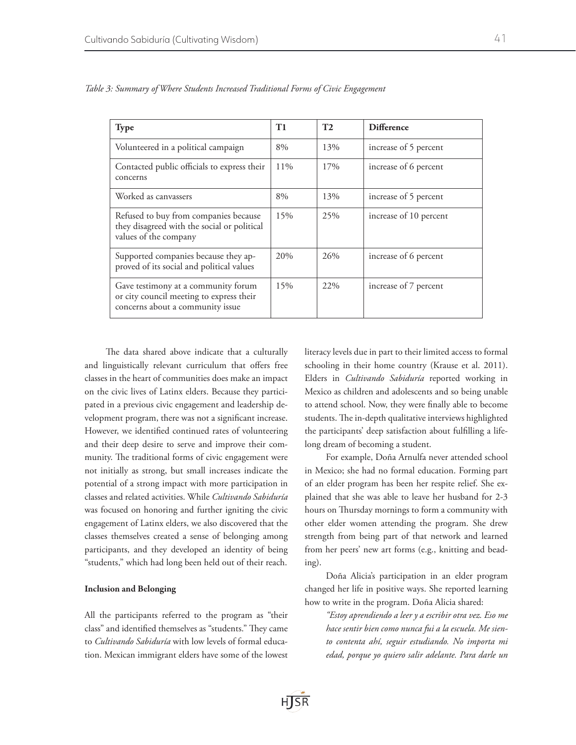| <b>Type</b>                                                                                                         | T1     | T2  | <b>Difference</b>      |
|---------------------------------------------------------------------------------------------------------------------|--------|-----|------------------------|
| Volunteered in a political campaign                                                                                 | 8%     | 13% | increase of 5 percent  |
| Contacted public officials to express their<br>concerns                                                             | $11\%$ | 17% | increase of 6 percent  |
| Worked as canvassers                                                                                                | 8%     | 13% | increase of 5 percent  |
| Refused to buy from companies because<br>they disagreed with the social or political<br>values of the company       | 15%    | 25% | increase of 10 percent |
| Supported companies because they ap-<br>proved of its social and political values                                   | 20%    | 26% | increase of 6 percent  |
| Gave testimony at a community forum<br>or city council meeting to express their<br>concerns about a community issue | 15%    | 22% | increase of 7 percent  |

*Table 3: Summary of Where Students Increased Traditional Forms of Civic Engagement*

The data shared above indicate that a culturally and linguistically relevant curriculum that offers free classes in the heart of communities does make an impact on the civic lives of Latinx elders. Because they participated in a previous civic engagement and leadership development program, there was not a significant increase. However, we identified continued rates of volunteering and their deep desire to serve and improve their community. The traditional forms of civic engagement were not initially as strong, but small increases indicate the potential of a strong impact with more participation in classes and related activities. While *Cultivando Sabiduría* was focused on honoring and further igniting the civic engagement of Latinx elders, we also discovered that the classes themselves created a sense of belonging among participants, and they developed an identity of being "students," which had long been held out of their reach.

## Inclusion and Belonging

All the participants referred to the program as "their class" and identified themselves as "students." They came to *Cultivando Sabiduría* with low levels of formal education. Mexican immigrant elders have some of the lowest literacy levels due in part to their limited access to formal schooling in their home country (Krause et al. 2011). Elders in *Cultivando Sabiduría* reported working in Mexico as children and adolescents and so being unable to attend school. Now, they were finally able to become students. The in-depth qualitative interviews highlighted the participants' deep satisfaction about fulfilling a lifelong dream of becoming a student.

For example, Doña Arnulfa never attended school in Mexico; she had no formal education. Forming part of an elder program has been her respite relief. She explained that she was able to leave her husband for 2-3 hours on Thursday mornings to form a community with other elder women attending the program. She drew strength from being part of that network and learned from her peers' new art forms (e.g., knitting and beading).

Doña Alicia's participation in an elder program changed her life in positive ways. She reported learning how to write in the program. Doña Alicia shared:

*"Estoy aprendiendo a leer y a escribir otra vez. Eso me hace sentir bien como nunca fui a la escuela. Me siento contenta ahí, seguir estudiando. No importa mi edad, porque yo quiero salir adelante. Para darle un*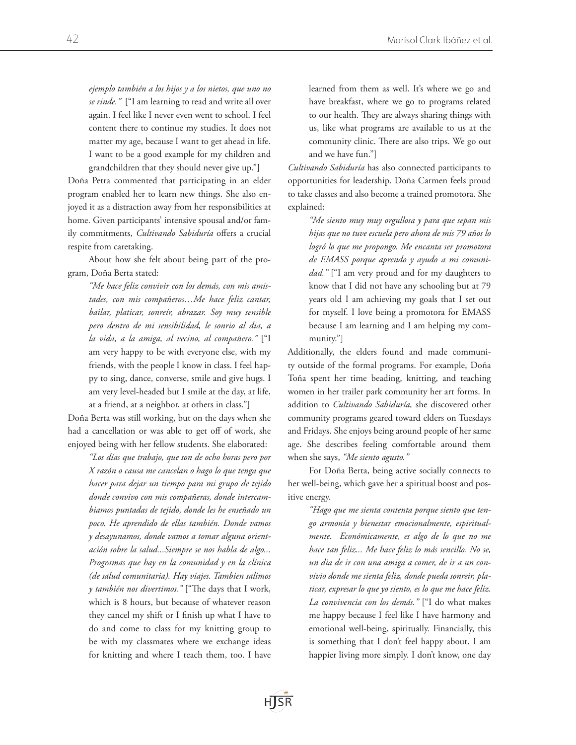*ejemplo también a los hijos y a los nietos, que uno no se rinde."* ["I am learning to read and write all over again. I feel like I never even went to school. I feel content there to continue my studies. It does not matter my age, because I want to get ahead in life. I want to be a good example for my children and grandchildren that they should never give up."]

Doña Petra commented that participating in an elder program enabled her to learn new things. She also enjoyed it as a distraction away from her responsibilities at home. Given participants' intensive spousal and/or family commitments, *Cultivando Sabiduría* offers a crucial respite from caretaking.

About how she felt about being part of the program, Doña Berta stated:

> *"Me hace feliz convivir con los demás, con mis amistades, con mis compañeros…Me hace feliz cantar, bailar, platicar, sonreír, abrazar. Soy muy sensible pero dentro de mi sensibilidad, le sonrio al dia, a la vida, a la amiga, al vecino, al compañero."* ["I am very happy to be with everyone else, with my friends, with the people I know in class. I feel happy to sing, dance, converse, smile and give hugs. I am very level-headed but I smile at the day, at life, at a friend, at a neighbor, at others in class."]

Doña Berta was still working, but on the days when she had a cancellation or was able to get off of work, she enjoyed being with her fellow students. She elaborated:

> *"Los días que trabajo, que son de ocho horas pero por X razón o causa me cancelan o hago lo que tenga que hacer para dejar un tiempo para mi grupo de tejido donde convivo con mis compañeras, donde intercambiamos puntadas de tejido, donde les he enseñado un poco. He aprendido de ellas también. Donde vamos y desayunamos, donde vamos a tomar alguna orientación sobre la salud...Siempre se nos habla de algo... Programas que hay en la comunidad y en la clínica (de salud comunitaria). Hay viajes. Tambien salimos y también nos divertimos."* ["The days that I work, which is 8 hours, but because of whatever reason they cancel my shift or I finish up what I have to do and come to class for my knitting group to be with my classmates where we exchange ideas for knitting and where I teach them, too. I have

learned from them as well. It's where we go and have breakfast, where we go to programs related to our health. They are always sharing things with us, like what programs are available to us at the community clinic. There are also trips. We go out and we have fun."]

*Cultivando Sabiduría* has also connected participants to opportunities for leadership. Doña Carmen feels proud to take classes and also become a trained promotora. She explained:

*"Me siento muy muy orgullosa y para que sepan mis hijas que no tuve escuela pero ahora de mis 79 años lo logró lo que me propongo. Me encanta ser promotora de EMASS porque aprendo y ayudo a mi comunidad."* ["I am very proud and for my daughters to know that I did not have any schooling but at 79 years old I am achieving my goals that I set out for myself. I love being a promotora for EMASS because I am learning and I am helping my community."]

Additionally, the elders found and made community outside of the formal programs. For example, Doña Toña spent her time beading, knitting, and teaching women in her trailer park community her art forms. In addition to *Cultivando Sabiduría,* she discovered other community programs geared toward elders on Tuesdays and Fridays. She enjoys being around people of her same age. She describes feeling comfortable around them when she says, *"Me siento agusto."* 

For Doña Berta, being active socially connects to her well-being, which gave her a spiritual boost and positive energy.

*"Hago que me sienta contenta porque siento que tengo armonía y bienestar emocionalmente, espiritualmente. Económicamente, es algo de lo que no me hace tan feliz... Me hace feliz lo más sencillo. No se, un dia de ir con una amiga a comer, de ir a un convivio donde me sienta feliz, donde pueda sonreir, platicar, expresar lo que yo siento, es lo que me hace feliz. La convivencia con los demás."* ["I do what makes me happy because I feel like I have harmony and emotional well-being, spiritually. Financially, this is something that I don't feel happy about. I am happier living more simply. I don't know, one day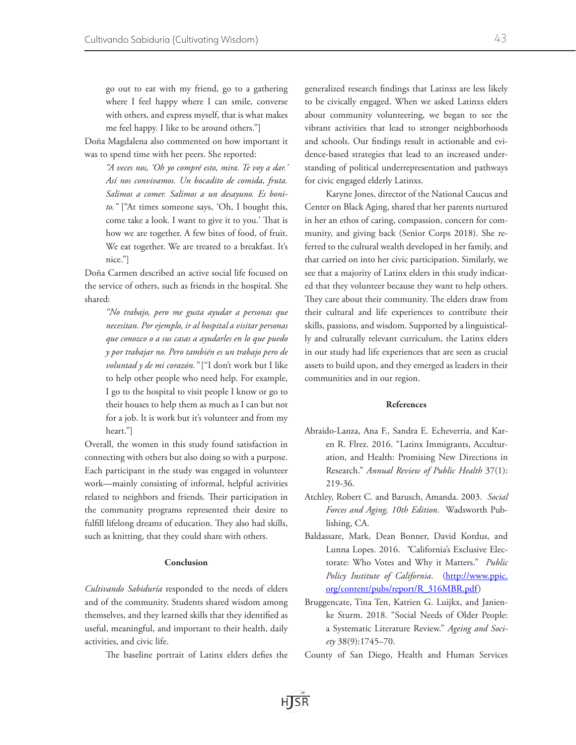go out to eat with my friend, go to a gathering where I feel happy where I can smile, converse with others, and express myself, that is what makes me feel happy. I like to be around others."]

Doña Magdalena also commented on how important it was to spend time with her peers. She reported:

> *"A veces nos, 'Oh yo compré esto, mira. Te voy a dar.' Así nos convivamos. Un bocadito de comida, fruta. Salimos a comer. Salimos a un desayuno. Es bonito."* ["At times someone says, 'Oh, I bought this, come take a look. I want to give it to you.' That is how we are together. A few bites of food, of fruit. We eat together. We are treated to a breakfast. It's nice."]

Doña Carmen described an active social life focused on the service of others, such as friends in the hospital. She shared:

*"No trabajo, pero me gusta ayudar a personas que necesitan. Por ejemplo, ir al hospital a visitar personas que conozco o a sus casas a ayudarles en lo que puedo y por trabajar no. Pero también es un trabajo pero de voluntad y de mi corazón."* ["I don't work but I like to help other people who need help. For example, I go to the hospital to visit people I know or go to their houses to help them as much as I can but not for a job. It is work but it's volunteer and from my heart."]

Overall, the women in this study found satisfaction in connecting with others but also doing so with a purpose. Each participant in the study was engaged in volunteer work—mainly consisting of informal, helpful activities related to neighbors and friends. Their participation in the community programs represented their desire to fulfill lifelong dreams of education. They also had skills, such as knitting, that they could share with others.

## Conclusion

*Cultivando Sabiduría* responded to the needs of elders and of the community. Students shared wisdom among themselves, and they learned skills that they identified as useful, meaningful, and important to their health, daily activities, and civic life.

The baseline portrait of Latinx elders defies the

generalized research findings that Latinxs are less likely to be civically engaged. When we asked Latinxs elders about community volunteering, we began to see the vibrant activities that lead to stronger neighborhoods and schools. Our findings result in actionable and evidence-based strategies that lead to an increased understanding of political underrepresentation and pathways for civic engaged elderly Latinxs.

Karyne Jones, director of the National Caucus and Center on Black Aging, shared that her parents nurtured in her an ethos of caring, compassion, concern for community, and giving back (Senior Corps 2018). She referred to the cultural wealth developed in her family, and that carried on into her civic participation. Similarly, we see that a majority of Latinx elders in this study indicated that they volunteer because they want to help others. They care about their community. The elders draw from their cultural and life experiences to contribute their skills, passions, and wisdom. Supported by a linguistically and culturally relevant curriculum, the Latinx elders in our study had life experiences that are seen as crucial assets to build upon, and they emerged as leaders in their communities and in our region.

# References

- Abraido-Lanza, Ana F., Sandra E. Echeverria, and Karen R. Flrez. 2016. "Latinx Immigrants, Acculturation, and Health: Promising New Directions in Research." *Annual Review of Public Health* 37(1): 219-36.
- Atchley, Robert C. and Barusch, Amanda. 2003. *Social Forces and Aging, 10th Edition*. Wadsworth Publishing, CA.
- Baldassare, Mark, Dean Bonner, David Kordus, and Lunna Lopes. 2016.  *"*California's Exclusive Electorate: Who Votes and Why it Matters." *Public Policy Institute of California*. ([http://www.ppic.](http://www.ppic.org/content/pubs/report/R_316MBR.pdf) [org/content/pubs/report/R\\_316MBR.pdf](http://www.ppic.org/content/pubs/report/R_316MBR.pdf))
- Bruggencate, Tina Ten, Katrien G. Luijkx, and Janienke Sturm. 2018. "Social Needs of Older People: a Systematic Literature Review." *Ageing and Society* 38(9):1745–70.

County of San Diego, Health and Human Services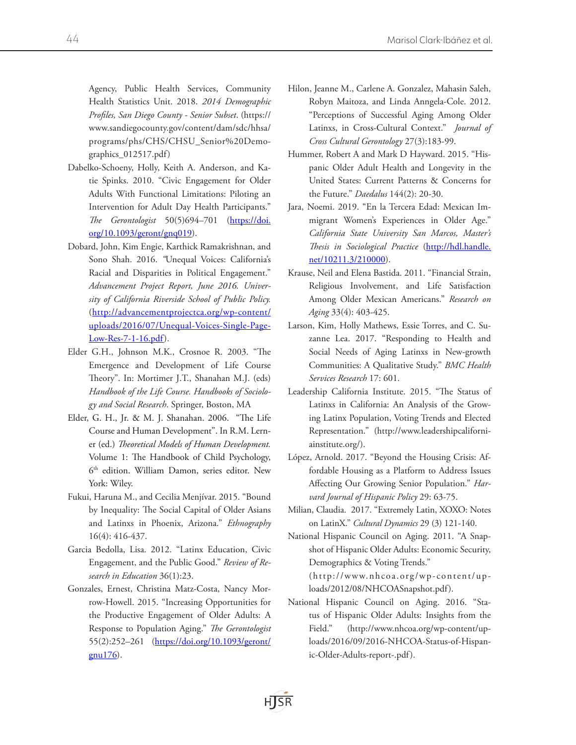Agency, Public Health Services, Community Health Statistics Unit. 2018. *2014 Demographic Profiles, San Diego County - Senior Subset*. (https:// www.sandiegocounty.gov/content/dam/sdc/hhsa/ programs/phs/CHS/CHSU\_Senior%20Demographics\_012517.pdf)

- Dabelko-Schoeny, Holly, Keith A. Anderson, and Katie Spinks. 2010. "Civic Engagement for Older Adults With Functional Limitations: Piloting an Intervention for Adult Day Health Participants." *The Gerontologist* 50(5)694–701 [\(https://doi.](https://doi.org/10.1093/geront/gnq019) [org/10.1093/geront/gnq019\)](https://doi.org/10.1093/geront/gnq019).
- Dobard, John, Kim Engie, Karthick Ramakrishnan, and Sono Shah. 2016. *"*Unequal Voices: California's Racial and Disparities in Political Engagement." *Advancement Project Report, June 2016. University of California Riverside School of Public Policy.*  ([http://advancementprojectca.org/wp-content/](http://advancementprojectca.org/wp-content/uploads/2016/07/Unequal-Voices-Single-Page-Low-Res-7-1-16.pdf) [uploads/2016/07/Unequal-Voices-Single-Page-](http://advancementprojectca.org/wp-content/uploads/2016/07/Unequal-Voices-Single-Page-Low-Res-7-1-16.pdf)[Low-Res-7-1-16.pdf](http://advancementprojectca.org/wp-content/uploads/2016/07/Unequal-Voices-Single-Page-Low-Res-7-1-16.pdf)).
- Elder G.H., Johnson M.K., Crosnoe R. 2003. "The Emergence and Development of Life Course Theory". In: Mortimer J.T., Shanahan M.J. (eds) *Handbook of the Life Course. Handbooks of Sociology and Social Research*. Springer, Boston, MA
- Elder, G. H., Jr. & M. J. Shanahan. 2006. "The Life Course and Human Development". In R.M. Lerner (ed.) *Theoretical Models of Human Development.* Volume 1: The Handbook of Child Psychology, 6<sup>th</sup> edition. William Damon, series editor. New York: Wiley.
- Fukui, Haruna M., and Cecilia Menjívar. 2015. "Bound by Inequality: The Social Capital of Older Asians and Latinxs in Phoenix, Arizona." *Ethnography*  16(4): 416-437.
- Garcia Bedolla, Lisa. 2012. "Latinx Education, Civic Engagement, and the Public Good." *Review of Research in Education* 36(1):23.
- Gonzales, Ernest, Christina Matz-Costa, Nancy Morrow-Howell. 2015. "Increasing Opportunities for the Productive Engagement of Older Adults: A Response to Population Aging." *The Gerontologist* 55(2):252-261 ([https://doi.org/10.1093/geront/](https://doi.org/10.1093/geront/gnu176)  $gnu176$ ).
- Hilon, Jeanne M., Carlene A. Gonzalez, Mahasin Saleh, Robyn Maitoza, and Linda Anngela-Cole. 2012. "Perceptions of Successful Aging Among Older Latinxs, in Cross-Cultural Context." *Journal of Cross Cultural Gerontology* 27(3):183-99.
- Hummer, Robert A and Mark D Hayward. 2015. "Hispanic Older Adult Health and Longevity in the United States: Current Patterns & Concerns for the Future." *Daedalus* 144(2): 20-30.
- Jara, Noemi. 2019. "En la Tercera Edad: Mexican Immigrant Women's Experiences in Older Age." *California State University San Marcos, Master's Thesis in Sociological Practice* ([http://hdl.handle.](http://hdl.handle.net/10211.3/210000) [net/10211.3/210000\)](http://hdl.handle.net/10211.3/210000).
- Krause, Neil and Elena Bastida. 2011. "Financial Strain, Religious Involvement, and Life Satisfaction Among Older Mexican Americans." *Research on Aging* 33(4): 403-425.
- Larson, Kim, Holly Mathews, Essie Torres, and C. Suzanne Lea. 2017. "Responding to Health and Social Needs of Aging Latinxs in New-growth Communities: A Qualitative Study." *BMC Health Services Research* 17: 601.
- Leadership California Institute. 2015. "The Status of Latinxs in California: An Analysis of the Growing Latinx Population, Voting Trends and Elected Representation." [\(http://www.leadershipcaliforni](http://www.leadershipcaliforniainstitute.org/)[ainstitute.org/\)](http://www.leadershipcaliforniainstitute.org/).
- López, Arnold. 2017. "Beyond the Housing Crisis: Affordable Housing as a Platform to Address Issues Affecting Our Growing Senior Population." *Harvard Journal of Hispanic Policy* 29: 63-75.
- Milian, Claudia. 2017. "Extremely Latin, XOXO: Notes on LatinX." *Cultural Dynamics* 29 (3) 121-140.
- National Hispanic Council on Aging. 2011. "A Snapshot of Hispanic Older Adults: Economic Security, Demographics & Voting Trends." (http://www.nhcoa.org/wp-content/uploads/2012/08/NHCOASnapshot.pdf).
- National Hispanic Council on Aging. 2016. "Status of Hispanic Older Adults: Insights from the Field." [\(http://www.nhcoa.org/wp-content/up](http://www.nhcoa.org/wp-content/uploads/2016/09/2016-NHCOA-Status-of-Hispanic-Older-Adults-report-.pdf)[loads/2016/09/2016-NHCOA-Status-of-Hispan](http://www.nhcoa.org/wp-content/uploads/2016/09/2016-NHCOA-Status-of-Hispanic-Older-Adults-report-.pdf)[ic-Older-Adults-report-.pdf\)](http://www.nhcoa.org/wp-content/uploads/2016/09/2016-NHCOA-Status-of-Hispanic-Older-Adults-report-.pdf).